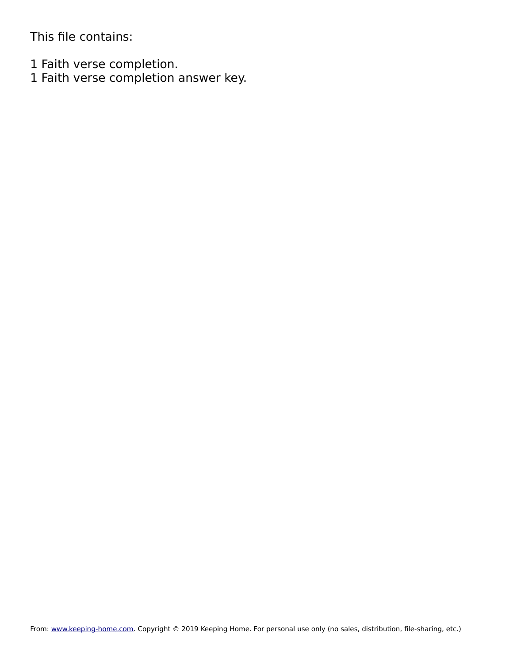This file contains:

1 Faith verse completion.

1 Faith verse completion answer key.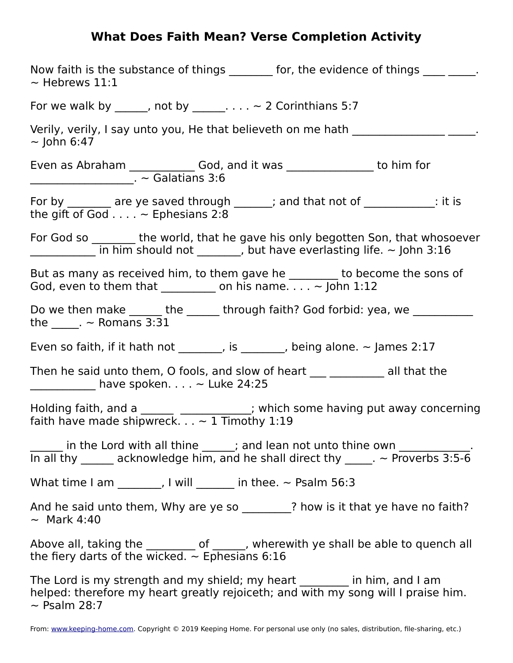## **What Does Faith Mean? Verse Completion Activity**

| Now faith is the substance of things ________ for, the evidence of things ____ ____.<br>$\sim$ Hebrews 11:1                                                                                                                                                                                                                                                                                                                                                                                                           |
|-----------------------------------------------------------------------------------------------------------------------------------------------------------------------------------------------------------------------------------------------------------------------------------------------------------------------------------------------------------------------------------------------------------------------------------------------------------------------------------------------------------------------|
| For we walk by ______, not by _______. ~ 2 Corinthians 5:7                                                                                                                                                                                                                                                                                                                                                                                                                                                            |
| Verily, verily, I say unto you, He that believeth on me hath ______________<br>$\sim$ John 6:47                                                                                                                                                                                                                                                                                                                                                                                                                       |
|                                                                                                                                                                                                                                                                                                                                                                                                                                                                                                                       |
| For by _______ are ye saved through ______; and that not of _____________: it is<br>the gift of God $\ldots$ $\sim$ Ephesians 2:8                                                                                                                                                                                                                                                                                                                                                                                     |
| For God so _______ the world, that he gave his only begotten Son, that whosoever<br>$\frac{1}{\sqrt{1-\frac{1}{\sqrt{1-\frac{1}{\sqrt{1-\frac{1}{\sqrt{1-\frac{1}{\sqrt{1-\frac{1}{\sqrt{1-\frac{1}{\sqrt{1-\frac{1}{\sqrt{1-\frac{1}{\sqrt{1-\frac{1}{\sqrt{1-\frac{1}{\sqrt{1-\frac{1}{\sqrt{1-\frac{1}{\sqrt{1-\frac{1}{\sqrt{1-\frac{1}{\sqrt{1-\frac{1}{\sqrt{1-\frac{1}{\sqrt{1-\frac{1}{\sqrt{1-\frac{1}{\sqrt{1-\frac{1}{\sqrt{1-\frac{1}{\sqrt{1-\frac{1}{\sqrt{1-\frac{1}{\sqrt{1-\frac{1}{\sqrt{1-\frac{1$ |
| But as many as received him, to them gave he ________ to become the sons of<br>God, even to them that $\_\_\_\_$ on his name $\sim$ John 1:12                                                                                                                                                                                                                                                                                                                                                                         |
| Do we then make ______ the ______ through faith? God forbid: yea, we<br>the $\sim$ $\sim$ Romans 3:31                                                                                                                                                                                                                                                                                                                                                                                                                 |
| Even so faith, if it hath not _______, is ______, being alone. $\sim$ James 2:17                                                                                                                                                                                                                                                                                                                                                                                                                                      |
| Then he said unto them, O fools, and slow of heart ___ _________ all that the<br>$\frac{1}{2}$ have spoken > Luke 24:25                                                                                                                                                                                                                                                                                                                                                                                               |
| Holding faith, and a __________________; which some having put away concerning faith have made shipwreck. ~ 1 Timothy 1:19                                                                                                                                                                                                                                                                                                                                                                                            |
| in the Lord with all thine $\frac{1}{\ln a}$ ; and lean not unto thine own $\frac{1}{\ln a}$ .<br>In all thy $\frac{1}{\ln a}$ acknowledge him, and he shall direct thy $\frac{1}{\ln a}$ ~ Proverbs 3:5-6                                                                                                                                                                                                                                                                                                            |
| What time I am $\qquad \qquad$ , I will $\qquad \qquad$ in thee. $\sim$ Psalm 56:3                                                                                                                                                                                                                                                                                                                                                                                                                                    |
| And he said unto them, Why are ye so _______? how is it that ye have no faith?<br>$\sim$ Mark 4:40                                                                                                                                                                                                                                                                                                                                                                                                                    |
| Above all, taking the $\frac{1}{\sqrt{1-\frac{1}{n}}}$ of $\frac{1}{\sqrt{1-\frac{1}{n}}}$ , wherewith ye shall be able to quench all the fiery darts of the wicked. $\sim$ Ephesians 6:16                                                                                                                                                                                                                                                                                                                            |
| The Lord is my strength and my shield; my heart _______ in him, and I am<br>helped: therefore my heart greatly rejoiceth; and with my song will I praise him.                                                                                                                                                                                                                                                                                                                                                         |

 $\sim$  Psalm 28:7